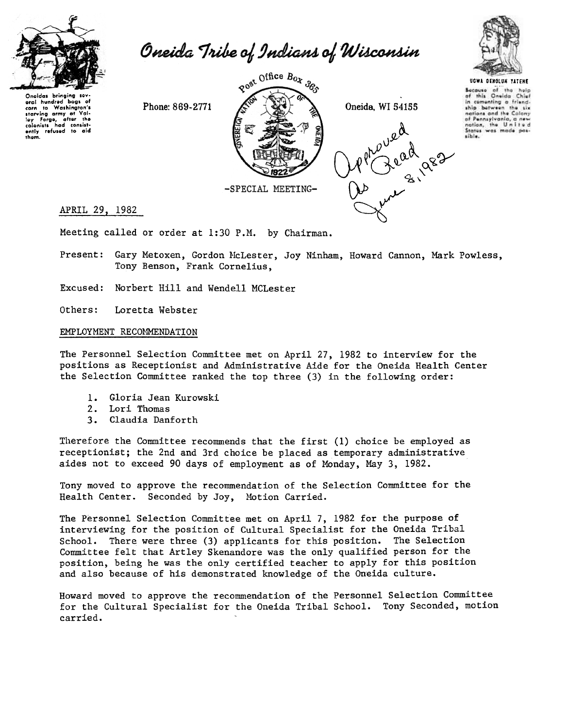

Oneida Tribe of Indians of Wisconsin

Oneidas bringing sev<br>.eral hundred bags o eral hundred bags of<br>carn to Washington's carn to Washington'i<br>starving army at Val-<br>ley Forgo, after the<br>colanists had consist-<br>ently refused to aid<br>them.





UGWA OEHOlUH TATEME Because of the help<br>of this Oneida Chief in comenting a friendship between the six nations and the Colony of Pennsylvania, a nev nation, the United<br>States was made pas the United sible.

Meeting called or order at 1:30 P.M. by Chairman.

Present: Gary Metoxen, Gordon McLester, Joy Ninham, Howard Cannon, Mark Powless, Tony Benson, Frank Cornelius,

Excused: Norbert Hill and Wendell MCLester

Loretta Webster Others:

#### EMPLOYMENT RECOMMENDATION

The Personnel Selection Committee met on April 27, 1982 to interview for the positions as Receptionist and Administrative Aide for the Oneida Health Center the Selection Committee ranked the top three (3) in the following order:

- 1. Gloria Jean Kurowsk
- 2. Lori Thomas
- 3. Claudia Danfor

Therefore the Committee recommends that the first (1) choice be employed as receptionist; the 2nd and 3rd choice be placed as temporary administrative aides not to exceed 90 days of employment as of Monday, May 3,  $1982$ .

Tony moved to approve the recommendation of the Selection Committee for the Health Center. Seconded by Joy, Motion Carried.

The Personnel Selection Committee met on April 7, 1982 for the purpose of interviewing for the position of Cultural Specialist for the Oneida Tribal School. There were three (3) applicants for this position. The Selection Committee felt that Artley Skenandore was the only qualified person for the position, being he was the only certified teacher to apply for this position and also because of his demonstrated knowledge of the Oneida culture.

Howard moved to approve the recommendation of the Personnel Selection Committee for the Cultural Specialist for the Oneida Tribal School. Tony Seconded, motion carried.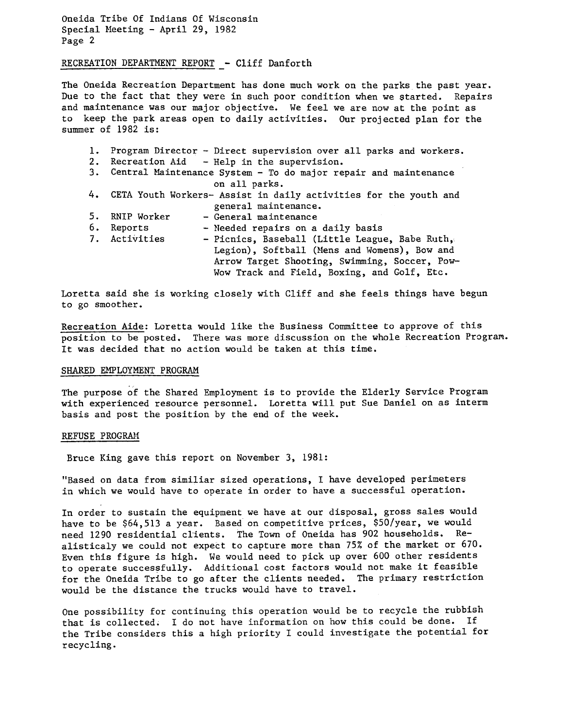Oneida Tribe Of Indians Of Wisconsin Special Meeting - April 29, 1982 Page 2

# RECREATION DEPARTMENT REPORT - Cliff Danfort

The Oneida Recreation Department has done much work on the parks the past year. Due to the fact that they were in such poor condition when we started. Repairs and maintenance was our major objective. We feel we are now at the point as to keep the park areas open to daily activities. Our projected plan for the summer of 1982 is:

| 1. |                                                                    | Program Director - Direct supervision over all parks and workers.   |  |
|----|--------------------------------------------------------------------|---------------------------------------------------------------------|--|
| 2. | Recreation Aid - Help in the supervision.                          |                                                                     |  |
|    | 3. Central Maintenance System - To do major repair and maintenance |                                                                     |  |
|    |                                                                    | on all parks.                                                       |  |
|    |                                                                    | 4. CETA Youth Workers- Assist in daily activities for the youth and |  |
|    |                                                                    | general maintenance.                                                |  |
| 5. | RNIP Worker                                                        | - General maintenance                                               |  |
| 6. | Reports                                                            | - Needed repairs on a daily basis                                   |  |
|    | 7. Activities                                                      | - Picnics, Baseball (Little League, Babe Ruth,                      |  |
|    |                                                                    | Legion), Softball (Mens and Womens), Bow and                        |  |
|    |                                                                    | Arrow Target Shooting, Swimming, Soccer, Pow-                       |  |
|    |                                                                    | Wow Track and Field, Boxing, and Golf, Etc.                         |  |

Loretta said she is working closely with Cliff and she feels things have begun to go smoother.

Recreation Aide: Loretta would like the Business Committee to approve of this position to be posted. There was more discussion on the whole Recreation Program. It was decided that no action would be taken at this time.

#### SHARED EMPLOYMENT PROGRAM

The purpose of the Shared Employment is to provide the Elderly Service Program with experienced resource personnel. Loretta will put Sue Daniel on as interm basis and post the position by the end of the week.

#### REFUSE PROGRAM

Bruce King gave this report on November 3, 1981:

"Based on data from similiar sized operations, I have developed perimeters in which we would have to operate in order to have a successful operation.

In order to sustain the equipment we have at our disposal, gross sales would have to be \$64,513 a year. Based on competitive prices, \$50/year, we would need 1290 residential clients. The Town of Oneida has 902 households. Realisticaly we could not expect to capture more than 75% of the market or 670. Even this figure is high. We would need to pick up over 600 other residents to operate successfully. Additional cost factors would not make it feasible for the Oneida Tribe to go after the clients needed. The primary restriction would be the distance the trucks would have to travel.

One possibility for continuing this operation would be to recycle the rubbish that is collected; I do not have information on how this could be done. If the Tribe considers this a high priority I could investigate the potential for recycling.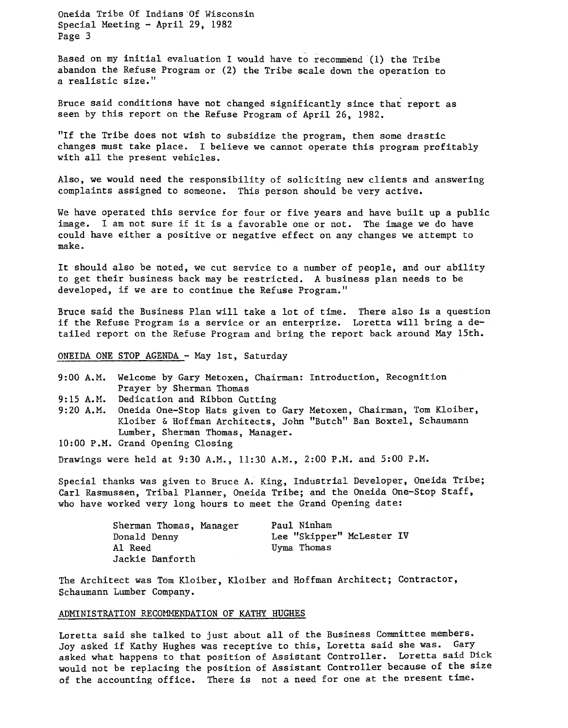Oneida Tribe Of Indians 'Of Wisconsin Special Meeting  $-$  April 29, 1982 Page 3

Based on my initial evaluation I would have to recommend (1) the Tribe abandon the Refuse Program or (2) the Tribe scale down the operation to a realistic size."

Bruce said conditions have not changed significantly since that report as seen by this report on the Refuse Program of April 26, 1982.

"If the Tribe does not wish to subsidize the program, then some drastic changes must take place. I believe we cannot operate this program profitably with all the present vehicles.

Also, we would need the responsibility of soliciting new clients and answering complaints assigned to someone. This person should be very active.

We have operated this service for four or five years and have built up a public image. I am not sure if it is a favorable one or not. The image we do have could have either a positive or negative effect on any changes we attempt to make.

It should also be noted, we cut service to a number of people, and our ability to get their business back may be restricted. A business plan needs to be developed, if we are to continue the Refuse Program."

Bruce said the Business Plan will take a lot of time. There also is a question if the Refuse Program is a service or an enterprize. Loretta will bring a detailed report on the Refuse Program and bring the report back around May 15th.

ONEIDA ONE STOP AGENDA - May 1st, Saturday

- 9:00 A.M. Welcome by Gary Metoxen, Chairman: Introduction, Recognition Prayer by Sherman Thomas
- 9:15 A.M. Dedication and Ribbon Cutting
- 9:20 A.M. Oneida One-Stop Hats given to Gary Metoxen, Chairman, Tom Kloiber, Kloiber & Hoffman Architects, John "Butch" Ban Boxtel, Schaumann Lumber, Sherman Thomas, Manager.
- 10:00 P.M. Grand Opening Closing

Drawings were held at 9:30 A.M., 11:30 A.M., 2:00 P.M. and 5:00 P.M.

Special thanks was given to Bruce A. King, Industrial Developer, Oneida Tribe; Carl Rasmussen, Tribal Planner, Oneida Tribe; and the Oneida One-Stop Staff, who have worked very long hours to meet the Grand Opening date:

| Sherman Thomas, Manager | Paul Ninham               |
|-------------------------|---------------------------|
| Donald Denny            | Lee "Skipper" McLester IV |
| Al Reed                 | Uyma Thomas               |
| Jackie Danforth         |                           |

The Architect was Tom Kloiber, Kloiber and Hoffman Architect; Contractor, Schaumann Lumber Company.

### ADMINISTRATION RECOMMENDATION OF KATHY HUGHES

Loretta said she talked to just about all of the Business Committee members. Joy asked if Kathy Hughes was receptive to this, Loretta said she was. Gary asked what happens to that position of Assistant Controller. Loretta said Dick would not be replacing the position of Assistant Controller because of the size of the accounting office. There is not a need for one at the present time.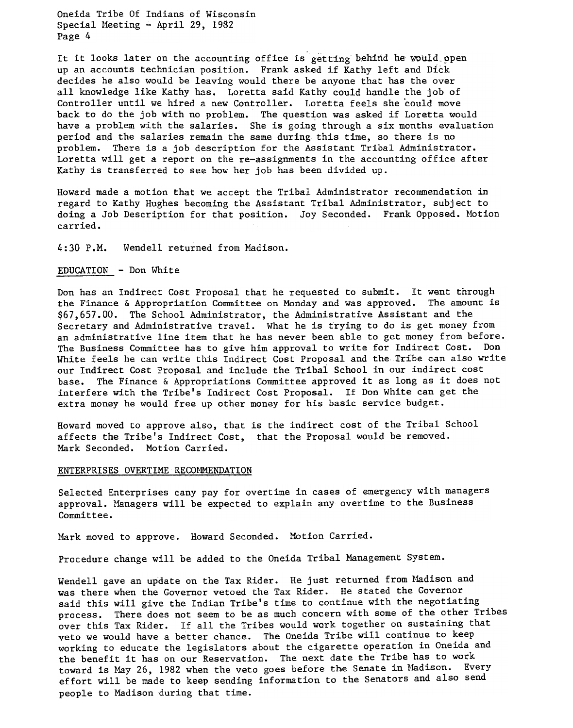Oneida Tribe Of Indians of Wisconsin Special Meeting - April 29, 1982 Page 4

It it looks later on the accounting office is getting behind he would open up an accounts technician position. Frank asked if Kathy left and Dick decides he also would be leaving would there be anyone that has the over all knowledge like Kathy has. Loretta said Kathy could handle the job of Controller until we hired a new Controller. Loretta feels she 'could move back to do the job with no problem. The question was asked if Loretta would have a problem with the salaries. She is going through a six months evaluation period and the salaries remain the same during this time, so there is no problem. There is a job description for the Assistant Tribal Administrator. Loretta will get a report on the re-assignments in the accounting office after Kathy is transferred to see how her job has been divided up.

Howard made a motion that we accept the Tribal Administrator recommendation in regard to Kathy Hughes becoming the Assistant Tribal Administrator, subject to doing a Job Description for that position. Joy Seconded. Frank Opposed. Motion carried.

4: 30 P.M. Wendell returned from Madison.

## $EDUCATION - Don White$

Don has an Indirect Cost Proposal that he requested to submit. It went through the Finance & Appropriation Committee on Monday and was approved. The amount is \$67,657.00. The School Administrator, the Administrative Assistant and the Secretary and Administrative travel. What he is trying to do is get money from an administrative line item that he has never been able to get money from before. The Business Committee has to give him approval to write for Indirect Cost. Don White feels he can write this Indirect Cost Proposal and the Tribe can also write our Indirect Cost Proposal and include the Tribai School in our indirect cost base. The Finance & Appropriations Committee approved it as long as it does not interfere with the Tribe's Indirect Cost Proposal. If Don White can get the extra money he would free up other money for his basic service budget.

Howard moved to approve also, that is the indirect cost of the Tribal School affects the Tribe's Indirect Cost, that the Proposal would be removed. Mark Seconded. Motion Carried.

#### ENTERPRISES OVERTIME RECOMMENDATION

Selected Enterprises cany pay for overtime in cases of emergency with managers approval. Managers will be expected to explain any overtime to the Business Committee.

Mark moved to approve. Howard Seconded. Motion Carried.

Procedure change will be added to the Oneida Tribal Management System.

Wendell gave an update on the Tax Rider. He just returned from Madison and was there when the Governor vetoed the Tax Rider. He stated the Governor said this will give the Indian Tribe's time to continue with the negotiating process, There does not seem to be as much concern with some of the other Tribes over this Tax Rider. If all the Tribes would work together on sustaining that veto we would have a better chance. The Oneida Tribe will continue to keep working to educate the legislators about the cigarette operation in Oneida and the benefit it has on our Reservation. The next date the Tribe has to work toward is May 26, 1982 when the veto goes before the Senate in Madison. Every effort will be made to keep sending information to the Senators and also send people to Madison during that time.